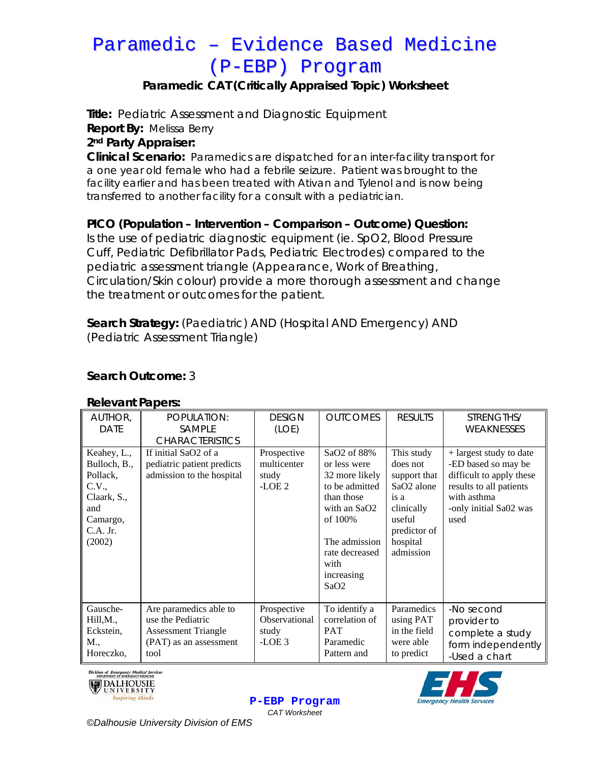# Paramedic – Evidence Based Medicine (P-EBP) Program

## **Paramedic CAT (Critically Appraised Topic) Worksheet**

**Title:** Pediatric Assessment and Diagnostic Equipment

**Report By:** Melissa Berry

#### **2nd Party Appraiser:**

**Clinical Scenario:** Paramedics are dispatched for an inter-facility transport for a one year old female who had a febrile seizure. Patient was brought to the facility earlier and has been treated with Ativan and Tylenol and is now being transferred to another facility for a consult with a pediatrician.

### **PICO (Population – Intervention – Comparison – Outcome) Question:**

Is the use of pediatric diagnostic equipment (ie. SpO2, Blood Pressure Cuff, Pediatric Defibrillator Pads, Pediatric Electrodes) compared to the pediatric assessment triangle (Appearance, Work of Breathing, Circulation/Skin colour) provide a more thorough assessment and change the treatment or outcomes for the patient.

**Search Strategy:** (Paediatric) AND (Hospital AND Emergency) AND (Pediatric Assessment Triangle)

| AUTHOR,<br><b>DATE</b>                                                                                     | POPULATION:<br><b>SAMPLE</b><br><b>CHARACTERISTICS</b>                                                      | <b>DESIGN</b><br>(LOE)                           | <b>OUTCOMES</b>                                                                                                                                                           | <b>RESULTS</b>                                                                                                                            | STRENGTHS/<br><b>WEAKNESSES</b>                                                                                                                        |
|------------------------------------------------------------------------------------------------------------|-------------------------------------------------------------------------------------------------------------|--------------------------------------------------|---------------------------------------------------------------------------------------------------------------------------------------------------------------------------|-------------------------------------------------------------------------------------------------------------------------------------------|--------------------------------------------------------------------------------------------------------------------------------------------------------|
| Keahey, L.,<br>Bulloch, B.,<br>Pollack,<br>C.V.,<br>Claark, S.,<br>and<br>Camargo,<br>$C.A.$ Jr.<br>(2002) | If initial SaO2 of a<br>pediatric patient predicts<br>admission to the hospital                             | Prospective<br>multicenter<br>study<br>$-LOE2$   | SaO2 of 88%<br>or less were<br>32 more likely<br>to be admitted<br>than those<br>with an SaO2<br>of 100%<br>The admission<br>rate decreased<br>with<br>increasing<br>SaO2 | This study<br>does not<br>support that<br>SaO <sub>2</sub> alone<br>is a<br>clinically<br>useful<br>predictor of<br>hospital<br>admission | + largest study to date<br>-ED based so may be<br>difficult to apply these<br>results to all patients<br>with asthma<br>-only initial Sa02 was<br>used |
| Gausche-<br>Hill, M.,<br>Eckstein,<br>M.,<br>Horeczko,                                                     | Are paramedics able to<br>use the Pediatric<br><b>Assessment Triangle</b><br>(PAT) as an assessment<br>tool | Prospective<br>Observational<br>study<br>$-LOE3$ | To identify a<br>correlation of<br><b>PAT</b><br>Paramedic<br>Pattern and                                                                                                 | Paramedics<br>using PAT<br>in the field<br>were able<br>to predict                                                                        | -No second<br>provider to<br>complete a study<br>form independently<br>-Used a chart                                                                   |

## **Relevant Papers:**

**Search Outcome:** 3

Division of *Emergency Medical Services*<br>DEPARTMENT OF EMERGENCY MEDICINE







*©Dalhousie University Division of EMS*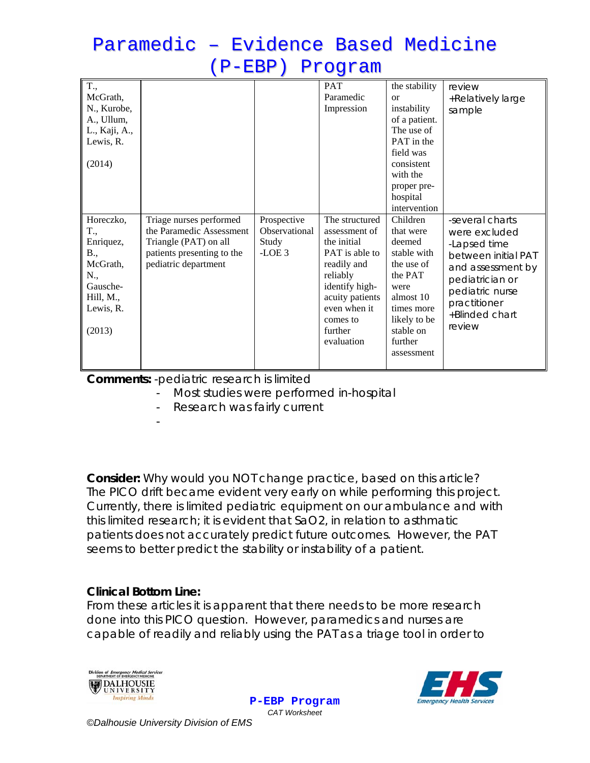## Paramedic – Evidence Based Medicine (P-EBP) Program

| T.,<br>McGrath,<br>N., Kurobe,<br>A., Ullum,<br>L., Kaji, A.,<br>Lewis, R.<br>(2014)                    |                                                                                                                                    |                                                  | PAT<br>Paramedic<br>Impression                                                                                                                                                        | the stability<br><b>or</b><br>instability<br>of a patient.<br>The use of<br>PAT in the<br>field was<br>consistent<br>with the<br>proper pre-<br>hospital<br>intervention | review<br>+Relatively large<br>sample                                                                                                                                          |
|---------------------------------------------------------------------------------------------------------|------------------------------------------------------------------------------------------------------------------------------------|--------------------------------------------------|---------------------------------------------------------------------------------------------------------------------------------------------------------------------------------------|--------------------------------------------------------------------------------------------------------------------------------------------------------------------------|--------------------------------------------------------------------------------------------------------------------------------------------------------------------------------|
| Horeczko,<br>T.,<br>Enriquez,<br>B.,<br>McGrath,<br>N.,<br>Gausche-<br>Hill, M.,<br>Lewis, R.<br>(2013) | Triage nurses performed<br>the Paramedic Assessment<br>Triangle (PAT) on all<br>patients presenting to the<br>pediatric department | Prospective<br>Observational<br>Study<br>$-LOE3$ | The structured<br>assessment of<br>the initial<br>PAT is able to<br>readily and<br>reliably<br>identify high-<br>acuity patients<br>even when it<br>comes to<br>further<br>evaluation | Children<br>that were<br>deemed<br>stable with<br>the use of<br>the PAT<br>were<br>almost 10<br>times more<br>likely to be<br>stable on<br>further<br>assessment         | -several charts<br>were excluded<br>-Lapsed time<br>between initial PAT<br>and assessment by<br>pediatrician or<br>pediatric nurse<br>practitioner<br>+Blinded chart<br>review |

**Comments:** -pediatric research is limited

Most studies were performed in-hospital

Research was fairly current

**Consider:** *Why would you NOT change practice, based on this article?*  The PICO drift became evident very early on while performing this project. Currently, there is limited pediatric equipment on our ambulance and with this limited research; it is evident that SaO2, in relation to asthmatic patients does not accurately predict future outcomes. However, the PAT seems to better predict the stability or instability of a patient.

### **Clinical Bottom Line:**

-

From these articles it is apparent that there needs to be more research done into this PICO question. However, paramedics and nurses are capable of readily and reliably using the PAT as a triage tool in order to





**P-EBP Program** *CAT Worksheet*